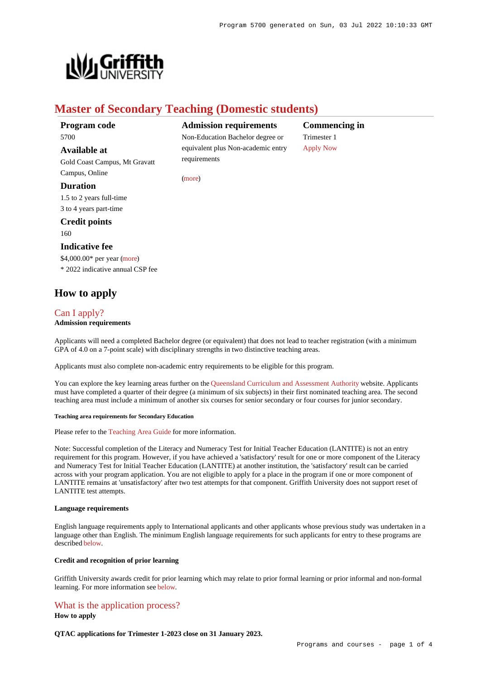

# **Master of Secondary Teaching (Domestic students)**

[\(more](https://www148.griffith.edu.au/programs-courses/Program/5700/HowToApply/Domestic#can-i-apply))

## **Program code** 5700

**Available at**

Gold Coast Campus, Mt Gravatt Campus, Online

### **Duration**

1.5 to 2 years full-time 3 to 4 years part-time

## **Credit points**

160

### **Indicative fee**

\$4,000.00\* per year [\(more](https://www148.griffith.edu.au/programs-courses/Program/5700/Overview/Domestic#fees)) \* 2022 indicative annual CSP fee

## **How to apply**

## [Can I apply?](https://www148.griffith.edu.au/programs-courses/Program/5700/HowToApply/Domestic#can-i-apply)

## **Admission requirements**

Applicants will need a completed Bachelor degree (or equivalent) that does not lead to teacher registration (with a minimum GPA of 4.0 on a 7-point scale) with disciplinary strengths in two distinctive teaching areas.

Applicants must also complete non-academic entry requirements to be eligible for this program.

You can explore the key learning areas further on the [Queensland Curriculum and Assessment Authority](https://www.qcaa.qld.edu.au/) website. Applicants must have completed a quarter of their degree (a minimum of six subjects) in their first nominated teaching area. The second teaching area must include a minimum of another six courses for senior secondary or four courses for junior secondary.

### **Teaching area requirements for Secondary Education**

Please refer to the [Teaching Area Guide](https://www.griffith.edu.au/__data/assets/pdf_file/0031/1552927/Master-of-Secondary-Teaching-Teaching-area-clarifications-updated-for-2022-with-corrections.pdf) for more information.

Note: Successful completion of the Literacy and Numeracy Test for Initial Teacher Education (LANTITE) is not an entry requirement for this program. However, if you have achieved a 'satisfactory' result for one or more component of the Literacy and Numeracy Test for Initial Teacher Education (LANTITE) at another institution, the 'satisfactory' result can be carried across with your program application. You are not eligible to apply for a place in the program if one or more component of LANTITE remains at 'unsatisfactory' after two test attempts for that component. Griffith University does not support reset of LANTITE test attempts.

### **Language requirements**

English language requirements apply to International applicants and other applicants whose previous study was undertaken in a language other than English. The minimum English language requirements for such applicants for entry to these programs are described [below](https://www148.griffith.edu.au/programs-courses/Program/5700/HowToApply/Domestic#language).

### **Credit and recognition of prior learning**

Griffith University awards credit for prior learning which may relate to prior formal learning or prior informal and non-formal learning. For more information see [below](https://www148.griffith.edu.au/programs-courses/Program/5700/HowToApply/Domestic#credit).

## [What is the application process?](https://www148.griffith.edu.au/programs-courses/Program/5700/HowToApply/Domestic#process)

**How to apply**

**QTAC applications for Trimester 1-2023 close on 31 January 2023.**

# **Admission requirements**

Non-Education Bachelor degree or equivalent plus Non-academic entry requirements

**Commencing in** Trimester 1 [Apply Now](https://www148.griffith.edu.au/programs-courses/Program/5700/HowToApply/Domestic#process)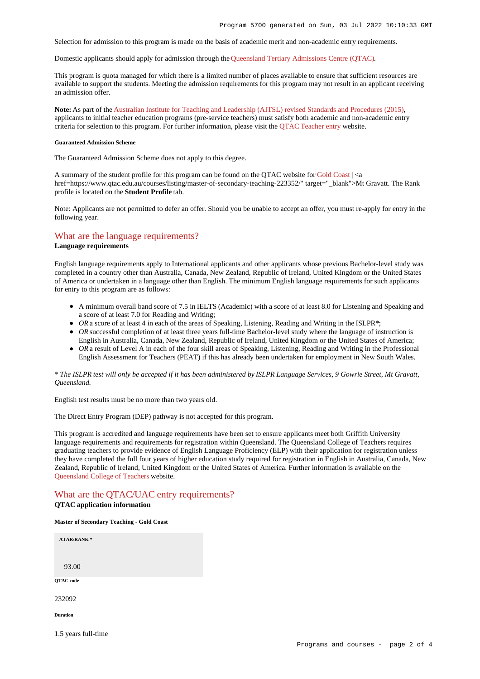Selection for admission to this program is made on the basis of academic merit and non-academic entry requirements.

Domestic applicants should apply for admission through the [Queensland Tertiary Admissions Centre \(QTAC\)](http://www.qtac.edu.au/).

This program is quota managed for which there is a limited number of places available to ensure that sufficient resources are available to support the students. Meeting the admission requirements for this program may not result in an applicant receiving an admission offer.

**Note:** As part of the [Australian Institute for Teaching and Leadership \(AITSL\) revised Standards and Procedures \(2015\)](https://www.aitsl.edu.au/initial-teacher-education/ite-reform/accreditation), applicants to initial teacher education programs (pre-service teachers) must satisfy both academic and non-academic entry criteria for selection to this program. For further information, please visit the [QTAC Teacher entry](http://www.qtac.edu.au/courses---institutions/teacher-entry) website.

#### **Guaranteed Admission Scheme**

The Guaranteed Admission Scheme does not apply to this degree.

A summary of the student profile for this program can be found on the OTAC website for [Gold Coast](https://www.qtac.edu.au/courses/listing/master-of-secondary-teaching-232092/)  $| \le a$ href=https://www.qtac.edu.au/courses/listing/master-of-secondary-teaching-223352/" target="\_blank">Mt Gravatt. The Rank profile is located on the **Student Profile** tab.

Note: Applicants are not permitted to defer an offer. Should you be unable to accept an offer, you must re-apply for entry in the following year.

## [What are the language requirements?](https://www148.griffith.edu.au/programs-courses/Program/5700/HowToApply/Domestic#language)

### **Language requirements**

English language requirements apply to International applicants and other applicants whose previous Bachelor-level study was completed in a country other than Australia, Canada, New Zealand, Republic of Ireland, United Kingdom or the United States of America or undertaken in a language other than English. The minimum English language requirements for such applicants for entry to this program are as follows:

- A minimum overall band score of 7.5 in IELTS (Academic) with a score of at least 8.0 for Listening and Speaking and a score of at least 7.0 for Reading and Writing;
- OR a score of at least 4 in each of the areas of Speaking, Listening, Reading and Writing in the ISLPR<sup>\*</sup>;
- OR successful completion of at least three years full-time Bachelor-level study where the language of instruction is English in Australia, Canada, New Zealand, Republic of Ireland, United Kingdom or the United States of America;
- OR a result of Level A in each of the four skill areas of Speaking, Listening, Reading and Writing in the Professional English Assessment for Teachers (PEAT) if this has already been undertaken for employment in New South Wales.

### *\* The ISLPR test will only be accepted if it has been administered by ISLPR Language Services, 9 Gowrie Street, Mt Gravatt, Queensland.*

English test results must be no more than two years old.

The Direct Entry Program (DEP) pathway is not accepted for this program.

This program is accredited and language requirements have been set to ensure applicants meet both Griffith University language requirements and requirements for registration within Queensland. The Queensland College of Teachers requires graduating teachers to provide evidence of English Language Proficiency (ELP) with their application for registration unless they have completed the full four years of higher education study required for registration in English in Australia, Canada, New Zealand, Republic of Ireland, United Kingdom or the United States of America. Further information is available on the [Queensland College of Teachers](http://www.qct.edu.au/registration/english-language-proficiency-requirement) website.

# [What are the QTAC/UAC entry requirements?](https://www148.griffith.edu.au/programs-courses/Program/5700/HowToApply/Domestic#tac-entry-requirements)

## **QTAC application information**

1.5 years full-time

#### **Master of Secondary Teaching - Gold Coast**

| <b>ATAR/RANK*</b> |  |  |
|-------------------|--|--|
|                   |  |  |
| 93.00             |  |  |
| QTAC code         |  |  |
| 232092            |  |  |
| Duration          |  |  |
|                   |  |  |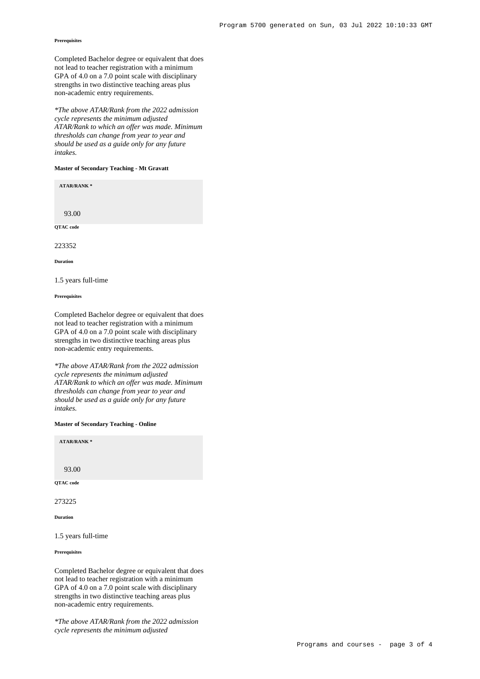### **Prerequisites**

Completed Bachelor degree or equivalent that does not lead to teacher registration with a minimum GPA of 4.0 on a 7.0 point scale with disciplinary strengths in two distinctive teaching areas plus non-academic entry requirements.

*\*The above ATAR/Rank from the 2022 admission cycle represents the minimum adjusted ATAR/Rank to which an offer was made. Minimum thresholds can change from year to year and should be used as a guide only for any future intakes.*

### **Master of Secondary Teaching - Mt Gravatt**

**ATAR/RANK \***

93.00

**QTAC code**

22332

**Duration**

1.5 years full-time

**Prerequisites**

Completed Bachelor degree or equivalent that does not lead to teacher registration with a minimum GPA of 4.0 on a 7.0 point scale with disciplinary strengths in two distinctive teaching areas plus non-academic entry requirements.

*\*The above ATAR/Rank from the 2022 admission cycle represents the minimum adjusted ATAR/Rank to which an offer was made. Minimum thresholds can change from year to year and should be used as a guide only for any future intakes.*

**Master of Secondary Teaching - Online**

**ATAR/RANK \*** 93.00 **QTAC code** 273225

**Duration**

1.5 years full-time

**Prerequisites**

Completed Bachelor degree or equivalent that does not lead to teacher registration with a minimum GPA of 4.0 on a 7.0 point scale with disciplinary strengths in two distinctive teaching areas plus non-academic entry requirements.

*\*The above ATAR/Rank from the 2022 admission cycle represents the minimum adjusted*